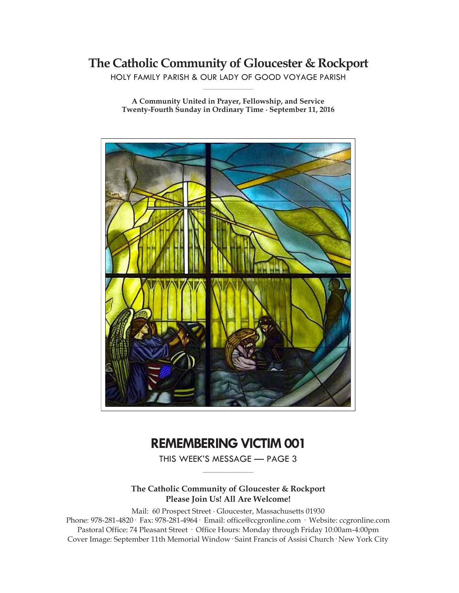# **The Catholic Community of Gloucester & Rockport**

HOLY FAMILY PARISH & OUR LADY OF GOOD VOYAGE PARISH **\_\_\_\_\_\_\_\_\_\_\_\_\_\_\_\_\_\_\_\_\_\_\_\_\_\_\_\_\_**

**A Community United in Prayer, Fellowship, and Service Twenty-Fourth Sunday in Ordinary Time ∙ September 11, 2016**



# **REMEMBERING VICTIM 001**

THIS WEEK'S MESSAGE — PAGE 3 **\_\_\_\_\_\_\_\_\_\_\_\_\_\_\_\_\_\_\_\_\_\_\_\_\_\_\_\_\_**

## **The Catholic Community of Gloucester & Rockport Please Join Us! All Are Welcome!**

Mail: 60 Prospect Street ∙ Gloucester, Massachusetts 01930 Phone: 978-281-4820· Fax: 978-281-4964· Email: office@ccgronline.com · Website: ccgronline.com Pastoral Office: 74 Pleasant Street · Office Hours: Monday through Friday 10:00am-4:00pm Cover Image: September 11th Memorial Window· Saint Francis of Assisi Church· New York City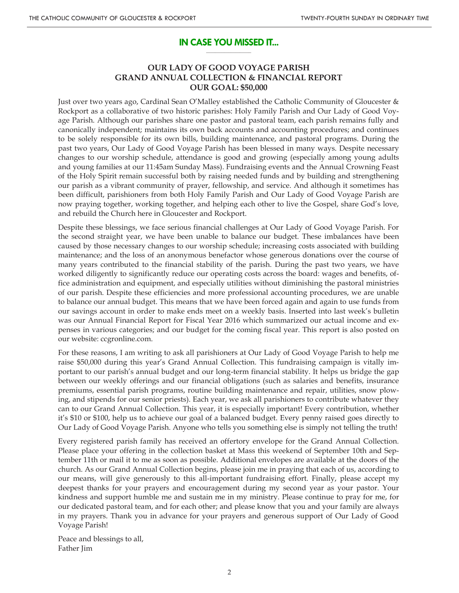### **IN CASE YOU MISSED IT... \_\_\_\_\_\_\_\_\_\_\_\_\_\_\_\_\_\_\_\_**

## **OUR LADY OF GOOD VOYAGE PARISH GRAND ANNUAL COLLECTION & FINANCIAL REPORT OUR GOAL: \$50,000**

Just over two years ago, Cardinal Sean O'Malley established the Catholic Community of Gloucester & Rockport as a collaborative of two historic parishes: Holy Family Parish and Our Lady of Good Voyage Parish. Although our parishes share one pastor and pastoral team, each parish remains fully and canonically independent; maintains its own back accounts and accounting procedures; and continues to be solely responsible for its own bills, building maintenance, and pastoral programs. During the past two years, Our Lady of Good Voyage Parish has been blessed in many ways. Despite necessary changes to our worship schedule, attendance is good and growing (especially among young adults and young families at our 11:45am Sunday Mass). Fundraising events and the Annual Crowning Feast of the Holy Spirit remain successful both by raising needed funds and by building and strengthening our parish as a vibrant community of prayer, fellowship, and service. And although it sometimes has been difficult, parishioners from both Holy Family Parish and Our Lady of Good Voyage Parish are now praying together, working together, and helping each other to live the Gospel, share God's love, and rebuild the Church here in Gloucester and Rockport.

Despite these blessings, we face serious financial challenges at Our Lady of Good Voyage Parish. For the second straight year, we have been unable to balance our budget. These imbalances have been caused by those necessary changes to our worship schedule; increasing costs associated with building maintenance; and the loss of an anonymous benefactor whose generous donations over the course of many years contributed to the financial stability of the parish. During the past two years, we have worked diligently to significantly reduce our operating costs across the board: wages and benefits, office administration and equipment, and especially utilities without diminishing the pastoral ministries of our parish. Despite these efficiencies and more professional accounting procedures, we are unable to balance our annual budget. This means that we have been forced again and again to use funds from our savings account in order to make ends meet on a weekly basis. Inserted into last week's bulletin was our Annual Financial Report for Fiscal Year 2016 which summarized our actual income and expenses in various categories; and our budget for the coming fiscal year. This report is also posted on our website: ccgronline.com.

For these reasons, I am writing to ask all parishioners at Our Lady of Good Voyage Parish to help me raise \$50,000 during this year's Grand Annual Collection. This fundraising campaign is vitally important to our parish's annual budget and our long-term financial stability. It helps us bridge the gap between our weekly offerings and our financial obligations (such as salaries and benefits, insurance premiums, essential parish programs, routine building maintenance and repair, utilities, snow plowing, and stipends for our senior priests). Each year, we ask all parishioners to contribute whatever they can to our Grand Annual Collection. This year, it is especially important! Every contribution, whether it's \$10 or \$100, help us to achieve our goal of a balanced budget. Every penny raised goes directly to Our Lady of Good Voyage Parish. Anyone who tells you something else is simply not telling the truth!

Every registered parish family has received an offertory envelope for the Grand Annual Collection. Please place your offering in the collection basket at Mass this weekend of September 10th and September 11th or mail it to me as soon as possible. Additional envelopes are available at the doors of the church. As our Grand Annual Collection begins, please join me in praying that each of us, according to our means, will give generously to this all-important fundraising effort. Finally, please accept my deepest thanks for your prayers and encouragement during my second year as your pastor. Your kindness and support humble me and sustain me in my ministry. Please continue to pray for me, for our dedicated pastoral team, and for each other; and please know that you and your family are always in my prayers. Thank you in advance for your prayers and generous support of Our Lady of Good Voyage Parish!

Peace and blessings to all, Father Jim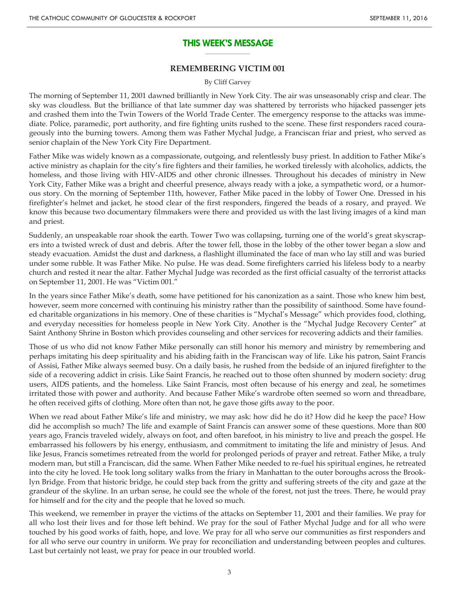### **THIS WEEK'S MESSAGE \_\_\_\_\_\_\_\_\_\_\_\_\_\_\_\_\_\_\_\_**

## **REMEMBERING VICTIM 001**

#### By Cliff Garvey

The morning of September 11, 2001 dawned brilliantly in New York City. The air was unseasonably crisp and clear. The sky was cloudless. But the brilliance of that late summer day was shattered by terrorists who hijacked passenger jets and crashed them into the Twin Towers of the World Trade Center. The emergency response to the attacks was immediate. Police, paramedic, port authority, and fire fighting units rushed to the scene. These first responders raced courageously into the burning towers. Among them was Father Mychal Judge, a Franciscan friar and priest, who served as senior chaplain of the New York City Fire Department.

Father Mike was widely known as a compassionate, outgoing, and relentlessly busy priest. In addition to Father Mike's active ministry as chaplain for the city's fire fighters and their families, he worked tirelessly with alcoholics, addicts, the homeless, and those living with HIV-AIDS and other chronic illnesses. Throughout his decades of ministry in New York City, Father Mike was a bright and cheerful presence, always ready with a joke, a sympathetic word, or a humorous story. On the morning of September 11th, however, Father Mike paced in the lobby of Tower One. Dressed in his firefighter's helmet and jacket, he stood clear of the first responders, fingered the beads of a rosary, and prayed. We know this because two documentary filmmakers were there and provided us with the last living images of a kind man and priest.

Suddenly, an unspeakable roar shook the earth. Tower Two was collapsing, turning one of the world's great skyscrapers into a twisted wreck of dust and debris. After the tower fell, those in the lobby of the other tower began a slow and steady evacuation. Amidst the dust and darkness, a flashlight illuminated the face of man who lay still and was buried under some rubble. It was Father Mike. No pulse. He was dead. Some firefighters carried his lifeless body to a nearby church and rested it near the altar. Father Mychal Judge was recorded as the first official casualty of the terrorist attacks on September 11, 2001. He was "Victim 001."

In the years since Father Mike's death, some have petitioned for his canonization as a saint. Those who knew him best, however, seem more concerned with continuing his ministry rather than the possibility of sainthood. Some have founded charitable organizations in his memory. One of these charities is "Mychal's Message" which provides food, clothing, and everyday necessities for homeless people in New York City. Another is the "Mychal Judge Recovery Center" at Saint Anthony Shrine in Boston which provides counseling and other services for recovering addicts and their families.

Those of us who did not know Father Mike personally can still honor his memory and ministry by remembering and perhaps imitating his deep spirituality and his abiding faith in the Franciscan way of life. Like his patron, Saint Francis of Assisi, Father Mike always seemed busy. On a daily basis, he rushed from the bedside of an injured firefighter to the side of a recovering addict in crisis. Like Saint Francis, he reached out to those often shunned by modern society: drug users, AIDS patients, and the homeless. Like Saint Francis, most often because of his energy and zeal, he sometimes irritated those with power and authority. And because Father Mike's wardrobe often seemed so worn and threadbare, he often received gifts of clothing. More often than not, he gave those gifts away to the poor.

When we read about Father Mike's life and ministry, we may ask: how did he do it? How did he keep the pace? How did he accomplish so much? The life and example of Saint Francis can answer some of these questions. More than 800 years ago, Francis traveled widely, always on foot, and often barefoot, in his ministry to live and preach the gospel. He embarrassed his followers by his energy, enthusiasm, and commitment to imitating the life and ministry of Jesus. And like Jesus, Francis sometimes retreated from the world for prolonged periods of prayer and retreat. Father Mike, a truly modern man, but still a Franciscan, did the same. When Father Mike needed to re-fuel his spiritual engines, he retreated into the city he loved. He took long solitary walks from the friary in Manhattan to the outer boroughs across the Brooklyn Bridge. From that historic bridge, he could step back from the gritty and suffering streets of the city and gaze at the grandeur of the skyline. In an urban sense, he could see the whole of the forest, not just the trees. There, he would pray for himself and for the city and the people that he loved so much.

This weekend, we remember in prayer the victims of the attacks on September 11, 2001 and their families. We pray for all who lost their lives and for those left behind. We pray for the soul of Father Mychal Judge and for all who were touched by his good works of faith, hope, and love. We pray for all who serve our communities as first responders and for all who serve our country in uniform. We pray for reconciliation and understanding between peoples and cultures. Last but certainly not least, we pray for peace in our troubled world.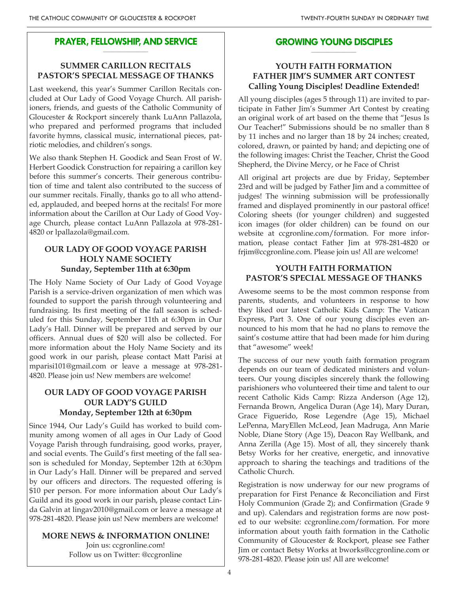## **PRAYER, FELLOWSHIP, AND SERVICE \_\_\_\_\_\_\_\_\_\_\_\_\_\_\_\_\_\_\_\_**

# **SUMMER CARILLON RECITALS PASTOR'S SPECIAL MESSAGE OF THANKS**

Last weekend, this year's Summer Carillon Recitals concluded at Our Lady of Good Voyage Church. All parishioners, friends, and guests of the Catholic Community of Gloucester & Rockport sincerely thank LuAnn Pallazola, who prepared and performed programs that included favorite hymns, classical music, international pieces, patriotic melodies, and children's songs.

We also thank Stephen H. Goodick and Sean Frost of W. Herbert Goodick Construction for repairing a carillon key before this summer's concerts. Their generous contribution of time and talent also contributed to the success of our summer recitals. Finally, thanks go to all who attended, applauded, and beeped horns at the recitals! For more information about the Carillon at Our Lady of Good Voyage Church, please contact LuAnn Pallazola at 978-281- 4820 or lpallazola@gmail.com.

# **OUR LADY OF GOOD VOYAGE PARISH HOLY NAME SOCIETY Sunday, September 11th at 6:30pm**

The Holy Name Society of Our Lady of Good Voyage Parish is a service-driven organization of men which was founded to support the parish through volunteering and fundraising. Its first meeting of the fall season is scheduled for this Sunday, September 11th at 6:30pm in Our Lady's Hall. Dinner will be prepared and served by our officers. Annual dues of \$20 will also be collected. For more information about the Holy Name Society and its good work in our parish, please contact Matt Parisi at mparisi101@gmail.com or leave a message at 978-281- 4820. Please join us! New members are welcome!

# **OUR LADY OF GOOD VOYAGE PARISH OUR LADY'S GUILD Monday, September 12th at 6:30pm**

Since 1944, Our Lady's Guild has worked to build community among women of all ages in Our Lady of Good Voyage Parish through fundraising, good works, prayer, and social events. The Guild's first meeting of the fall season is scheduled for Monday, September 12th at 6:30pm in Our Lady's Hall. Dinner will be prepared and served by our officers and directors. The requested offering is \$10 per person. For more information about Our Lady's Guild and its good work in our parish, please contact Linda Galvin at lingav2010@gmail.com or leave a message at 978-281-4820. Please join us! New members are welcome!

# **MORE NEWS & INFORMATION ONLINE!**

Join us: ccgronline.com! Follow us on Twitter: @ccgronline

## **GROWING YOUNG DISCIPLES \_\_\_\_\_\_\_\_\_\_\_\_\_\_\_\_\_\_\_\_**

# **YOUTH FAITH FORMATION FATHER JIM'S SUMMER ART CONTEST Calling Young Disciples! Deadline Extended!**

All young disciples (ages 5 through 11) are invited to participate in Father Jim's Summer Art Contest by creating an original work of art based on the theme that "Jesus Is Our Teacher!" Submissions should be no smaller than 8 by 11 inches and no larger than 18 by 24 inches; created, colored, drawn, or painted by hand; and depicting one of the following images: Christ the Teacher, Christ the Good Shepherd, the Divine Mercy, or he Face of Christ

All original art projects are due by Friday, September 23rd and will be judged by Father Jim and a committee of judges! The winning submission will be professionally framed and displayed prominently in our pastoral office! Coloring sheets (for younger children) and suggested icon images (for older children) can be found on our website at ccgronline.com/formation. For more information, please contact Father Jim at 978-281-4820 or frjim@ccgronline.com. Please join us! All are welcome!

# **YOUTH FAITH FORMATION PASTOR'S SPECIAL MESSAGE OF THANKS**

Awesome seems to be the most common response from parents, students, and volunteers in response to how they liked our latest Catholic Kids Camp: The Vatican Express, Part 3. One of our young disciples even announced to his mom that he had no plans to remove the saint's costume attire that had been made for him during that "awesome" week!

The success of our new youth faith formation program depends on our team of dedicated ministers and volunteers. Our young disciples sincerely thank the following parishioners who volunteered their time and talent to our recent Catholic Kids Camp: Rizza Anderson (Age 12), Fernanda Brown, Angelica Duran (Age 14), Mary Duran, Grace Figuerido, Rose Legendre (Age 15), Michael LePenna, MaryEllen McLeod, Jean Madruga, Ann Marie Noble, Diane Story (Age 15), Deacon Ray Wellbank, and Anna Zerilla (Age 15). Most of all, they sincerely thank Betsy Works for her creative, energetic, and innovative approach to sharing the teachings and traditions of the Catholic Church.

Registration is now underway for our new programs of preparation for First Penance & Reconciliation and First Holy Communion (Grade 2); and Confirmation (Grade 9 and up). Calendars and registration forms are now posted to our website: ccgronline.com/formation. For more information about youth faith formation in the Catholic Community of Gloucester & Rockport, please see Father Jim or contact Betsy Works at bworks@ccgronline.com or 978-281-4820. Please join us! All are welcome!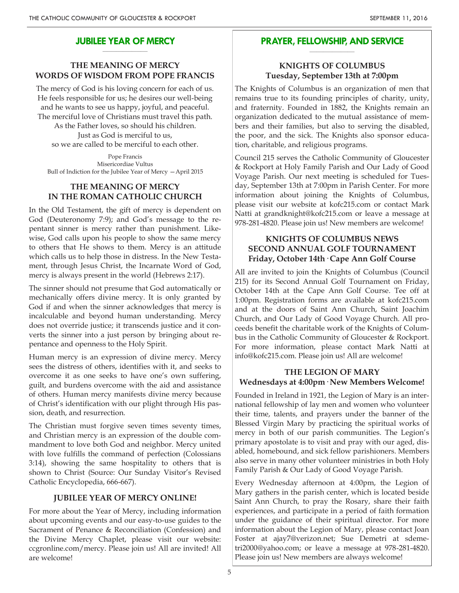#### **JUBILEE YEAR OF MERCY \_\_\_\_\_\_\_\_\_\_\_\_\_\_\_\_\_\_\_\_**

# **THE MEANING OF MERCY WORDS OF WISDOM FROM POPE FRANCIS**

The mercy of God is his loving concern for each of us. He feels responsible for us; he desires our well-being and he wants to see us happy, joyful, and peaceful. The merciful love of Christians must travel this path. As the Father loves, so should his children. Just as God is merciful to us, so we are called to be merciful to each other.

Pope Francis Misericordiae Vultus Bull of Indiction for the Jubilee Year of Mercy —April 2015

## **THE MEANING OF MERCY IN THE ROMAN CATHOLIC CHURCH**

In the Old Testament, the gift of mercy is dependent on God (Deuteronomy 7:9); and God's message to the repentant sinner is mercy rather than punishment. Likewise, God calls upon his people to show the same mercy to others that He shows to them. Mercy is an attitude which calls us to help those in distress. In the New Testament, through Jesus Christ, the Incarnate Word of God, mercy is always present in the world (Hebrews 2:17).

The sinner should not presume that God automatically or mechanically offers divine mercy. It is only granted by God if and when the sinner acknowledges that mercy is incalculable and beyond human understanding. Mercy does not override justice; it transcends justice and it converts the sinner into a just person by bringing about repentance and openness to the Holy Spirit.

Human mercy is an expression of divine mercy. Mercy sees the distress of others, identifies with it, and seeks to overcome it as one seeks to have one's own suffering, guilt, and burdens overcome with the aid and assistance of others. Human mercy manifests divine mercy because of Christ's identification with our plight through His passion, death, and resurrection.

The Christian must forgive seven times seventy times, and Christian mercy is an expression of the double commandment to love both God and neighbor. Mercy united with love fulfills the command of perfection (Colossians 3:14), showing the same hospitality to others that is shown to Christ (Source: Our Sunday Visitor's Revised Catholic Encyclopedia, 666-667).

## **JUBILEE YEAR OF MERCY ONLINE!**

For more about the Year of Mercy, including information about upcoming events and our easy-to-use guides to the Sacrament of Penance & Reconciliation (Confession) and the Divine Mercy Chaplet, please visit our website: ccgronline.com/mercy. Please join us! All are invited! All are welcome!

#### **PRAYER, FELLOWSHIP, AND SERVICE \_\_\_\_\_\_\_\_\_\_\_\_\_\_\_\_\_\_\_\_**

# **KNIGHTS OF COLUMBUS Tuesday, September 13th at 7:00pm**

The Knights of Columbus is an organization of men that remains true to its founding principles of charity, unity, and fraternity. Founded in 1882, the Knights remain an organization dedicated to the mutual assistance of members and their families, but also to serving the disabled, the poor, and the sick. The Knights also sponsor education, charitable, and religious programs.

Council 215 serves the Catholic Community of Gloucester & Rockport at Holy Family Parish and Our Lady of Good Voyage Parish. Our next meeting is scheduled for Tuesday, September 13th at 7:00pm in Parish Center. For more information about joining the Knights of Columbus, please visit our website at kofc215.com or contact Mark Natti at grandknight@kofc215.com or leave a message at 978-281-4820. Please join us! New members are welcome!

## **KNIGHTS OF COLUMBUS NEWS SECOND ANNUAL GOLF TOURNAMENT Friday, October 14th· Cape Ann Golf Course**

All are invited to join the Knights of Columbus (Council 215) for its Second Annual Golf Tournament on Friday, October 14th at the Cape Ann Golf Course. Tee off at 1:00pm. Registration forms are available at kofc215.com and at the doors of Saint Ann Church, Saint Joachim Church, and Our Lady of Good Voyage Church. All proceeds benefit the charitable work of the Knights of Columbus in the Catholic Community of Gloucester & Rockport. For more information, please contact Mark Natti at info@kofc215.com. Please join us! All are welcome!

## **THE LEGION OF MARY Wednesdays at 4:00pm· New Members Welcome!**

Founded in Ireland in 1921, the Legion of Mary is an international fellowship of lay men and women who volunteer their time, talents, and prayers under the banner of the Blessed Virgin Mary by practicing the spiritual works of mercy in both of our parish communities. The Legion's primary apostolate is to visit and pray with our aged, disabled, homebound, and sick fellow parishioners. Members also serve in many other volunteer ministries in both Holy Family Parish & Our Lady of Good Voyage Parish.

Every Wednesday afternoon at 4:00pm, the Legion of Mary gathers in the parish center, which is located beside Saint Ann Church, to pray the Rosary, share their faith experiences, and participate in a period of faith formation under the guidance of their spiritual director. For more information about the Legion of Mary, please contact Joan Foster at ajay7@verizon.net; Sue Demetri at sdemetri2000@yahoo.com; or leave a message at 978-281-4820. Please join us! New members are always welcome!